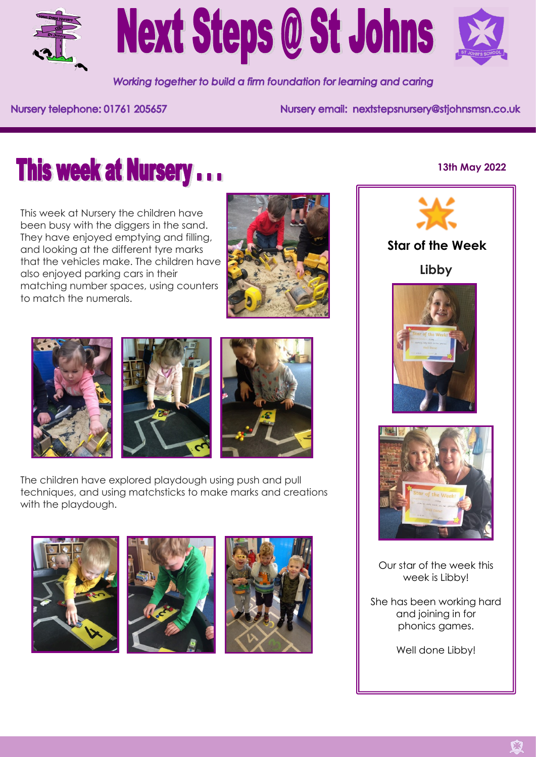

# **Next Steps @ St Johns**



Working together to build a firm foundation for learning and caring

Nursery telephone: 01761 205657

Nursery email: nextstepsnursery@stjohnsmsn.co.uk

# **This week at Nursery...**

This week at Nursery the children have been busy with the diggers in the sand. They have enjoyed emptying and filling, and looking at the different tyre marks that the vehicles make. The children have also enjoyed parking cars in their matching number spaces, using counters to match the numerals.









The children have explored playdough using push and pull techniques, and using matchsticks to make marks and creations with the playdough.







### **13th May 2022**



# **Star of the Week**

**Libby**





Our star of the week this week is Libby!

She has been working hard and joining in for phonics games.

Well done Libby!